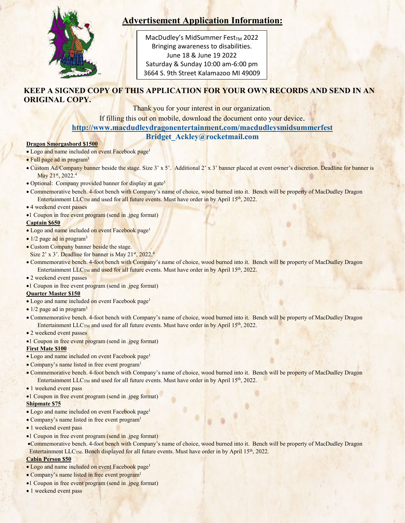

# **Advertisement Application Information:**

**Period of the event is 1300-1901.**  3664 S. 9th Street Kalamazoo MI 49009 MacDudley's MidSummer Fest $_{TM}$  2022 Bringing awareness to disabilities. June 18 & June 19 2022 Saturday & Sunday 10:00 am-6:00 pm

# **KEEP A SIGNED COPY OF THIS APPLICATION FOR YOUR OWN RECORDS AND SEND IN AN ORIGINAL COPY.**

Thank you for your interest in our organization.

If filling this out on mobile, download the document onto your device.

## **<http://www.macdudleydragonentertainment.com/macdudleysmidsummerfest>**

**[Bridget\\_Ackley@rocketmail.com](mailto:Bridget_Ackley@rocketmail.com)**

#### **Dragon Smorgasbord \$1500**

- Logo and name included on event Facebook page<sup>1</sup>
- Full page ad in program<sup>3</sup>
- Custom Ad/Company banner beside the stage. Size 3' x 5'. Additional 2' x 3' banner placed at event owner's discretion. Deadline for banner is May 21st, 2022.<sup>4</sup>
- Optional: Company provided banner for display at gate<sup>5</sup>
- Commemorative bench. 4-foot bench with Company's name of choice, wood burned into it. Bench will be property of MacDudley Dragon Entertainment  $LLC<sub>TM</sub>$  and used for all future events. Must have order in by April 15<sup>th</sup>, 2022.
- 4 weekend event passes
- •1 Coupon in free event program (send in .jpeg format)

#### **Captain \$650**

- Logo and name included on event Facebook page<sup>1</sup>
- $\bullet$  1/2 page ad in program<sup>3</sup>
- Custom Company banner beside the stage.
- Size 2' x 3'. Deadline for banner is May 21st, 2022.<sup>4</sup>
- Commemorative bench. 4-foot bench with Company's name of choice, wood burned into it. Bench will be property of MacDudley Dragon Entertainment LLC<sub>TM</sub> and used for all future events. Must have order in by April 15<sup>th</sup>, 2022.
- 2 weekend event passes
- •1 Coupon in free event program (send in .jpeg format)

#### **Quarter Master \$150**

- Logo and name included on event Facebook page1
- 1/2 page ad in program<sup>3</sup>
- Commemorative bench. 4-foot bench with Company's name of choice, wood burned into it. Bench will be property of MacDudley Dragon Entertainment LLC<sub>TM</sub> and used for all future events. Must have order in by April 15<sup>th</sup>, 2022.
- 2 weekend event passes
- •1 Coupon in free event program (send in .jpeg format)

#### **First Mate \$100**

- Logo and name included on event Facebook page1
- Company's name listed in free event program1
- Commemorative bench. 4-foot bench with Company's name of choice, wood burned into it. Bench will be property of MacDudley Dragon Entertainment LLC<sub>TM</sub> and used for all future events. Must have order in by April 15<sup>th</sup>, 2022.
- 1 weekend event pass
- •1 Coupon in free event program (send in .jpeg format)

#### **Shipmate \$75**

- Logo and name included on event Facebook page1
- Company's name listed in free event program<sup>1</sup>
- 1 weekend event pass
- •1 Coupon in free event program (send in .jpeg format)
- •Commemorative bench. 4-foot bench with Company's name of choice, wood burned into it. Bench will be property of MacDudley Dragon Entertainment  $LLC_{TM}$ . Bench displayed for all future events. Must have order in by April 15<sup>th</sup>, 2022.

### **Cabin Person \$50**

- Logo and name included on event Facebook page<sup>1</sup>
- Company's name listed in free event program<sup>1</sup>
- 1 •1 Coupon in free event program (send in .jpeg format)
- 1 weekend event pass